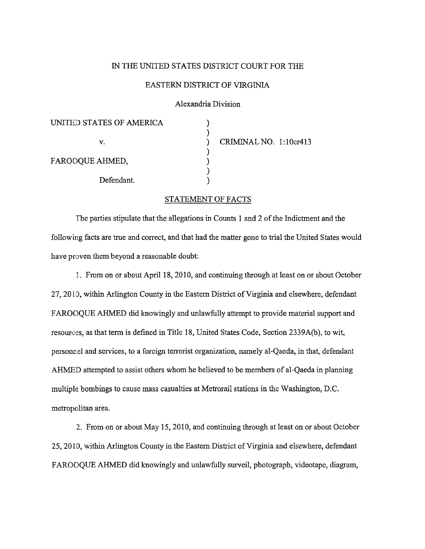## IN THE UNITED STATES DISTRICT COURT FOR THE

## EASTERN DISTRICT OF VIRGINIA

Alexandria Division

| UNITED STATES OF AMERICA |                        |
|--------------------------|------------------------|
| v.                       | CRIMINAL NO. 1:10cr413 |
| FAROOQUE AHMED,          |                        |
| Defendant.               |                        |

## STATEMENT OF FACTS

The parties stipulate that the allegations in Counts 1 and 2 of the Indictment and the following facts are true and correct, and that had the matter gone to trial the United States would have proven them beyond a reasonable doubt:

J. From on or about April 18, 2010, and continuing through at least on or about October 27,20 [0, within Arlington County in the Eastern District of Virginia and elsewhere, defendant FAROOQUE AHMED did knowingly and unlawfully attempt to provide material support and resources, as that term is defined in Title 18, United States Code, Section 2339A(b), to wit, personnel and services, to a foreign terrorist organization, namely al-Qaeda, in that, defendant AHMED attempted to assist others whom he believed to be members of al-Qaeda in planning mUltiple bombings to cause mass casualties at Metrorail stations in the Washington, D.C. metropolitan area.

2. From on or about May 15, 2010, and continuing through at least on or about October 25, 2010, within Arlington County in the Eastern District of Virginia and elsewhere, defendant F AROOQUE AHMED did knowingly and unlawfully surveil, photograph, videotape, diagram,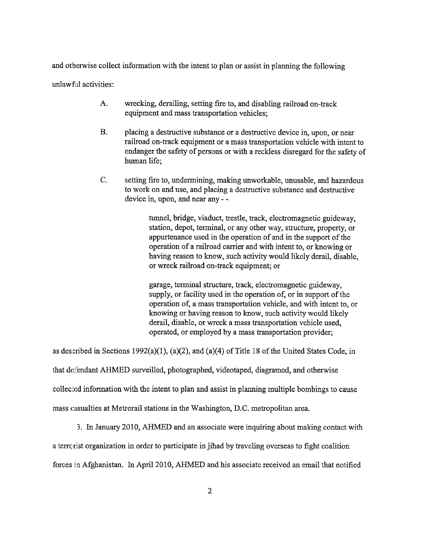and otherwise collect infonnation with the intent to plan or assist in planning the following

unlaw ful activities:

- A. wrecking, derailing, setting fire to, and disabling railroad on-track equipment and mass transportation vehicles;
- B. placing a destructive substance or a destructive device in, upon, or near railroad on-track equipment or a mass transportation vehicle with intent to endanger the safety of persons or with a reckless disregard for the safety of human life;
- C. setting fire to, undermining, making unworkable, unusable, and hazardous to work on and use, and placing a destructive substance and destructive device in, upon, and near any - -

tunnel, bridge, viaduct, trestle, track, electromagnetic guideway, station, depot, terminal, or any other way, structure, property, or appurtenance used in the operation of and in the support of the operation of a railroad carrier and with intent to, or knowing or having reason to know, such activity would likely derail, disable, or wreck railroad on-track equipment; or

garage, tenninal structure, track, electromagnetic guideway, supply, or facility used in the operation of, or in support of the operation of, a mass transportation vehicle, and with intent to, or knowing or having reason to know, such activity would likely derail, disable, or wreck a mass transportation vehicle used, operated, or employed by a mass transportation provider;

as desctibed in Sections 1992(a)(1), (a)(2), and (a)(4) of Title 18 of the United States Code, in

that defendant AHMED surveilled, photographed, videotaped, diagramed, and otherwise

collected infonnation with the intent to plan and assist in planning multiple bombings to cause

mass casualties at Metrorail stations in the Washington, D.C. metropolitan area.

3. In January 2010, AHMED and an associate were inquiring about making contact with

a terrorist organization in order to participate in jihad by traveling overseas to fight coalition

forces in Afghanistan. In April 2010, AHMED and his associate received an email that notified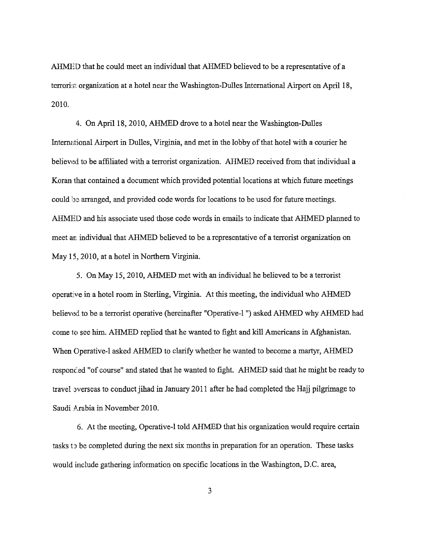AHMED that he could meet an individual that AHMED believed to be a representative of a terrori:;t organization at a hotel near the Washington-Dulles International Airport on April 18, 2010.

4. On April 18, 2010, AHMED drove to a hotel near the Washington-Dulles International Airport in Dulles, Virginia, and met in the lobby of that hotel with a courier he believed to be affiliated with a terrorist organization. AHMED received from that individual a Koran that contained a document which provided potential locations at which future meetings could be arranged, and provided code words for locations to be used for future meetings. AHMED and his associate used those code words in ernails to indicate that AHMED planned to meet an. individual that AHMED believed to be a representative of a terrorist organization on May 15, 2010, at a hotel in Northern Virginia.

5. On May 15,2010, AHMED met with an individual he believed to be a terrorist operative in a hotel room in Sterling, Virginia. At this meeting, the individual who AHMED believed to be a terrorist operative (hereinafter "Operative-l") asked AHMED why AHMED had come to sec him. AHMED replied that he wanted to fight and kill Americans in Afghanistan. When Operative-l asked AHMED to clarify whether he wanted to become a martyr, AHMED responc:ed "of course" and stated that he wanted to fight. AHMED said that he might be ready to travel overseas to conduct jihad in January 2011 after he had completed the Hajj pilgrimage to Saudi Arabia in November 2010.

6. At the meeting, Operative-l told AHMED that his organization would require ccrtain tasks t) bc completed during the next six months in preparation for an operation. These tasks would include gathering information on specific locations in the Washington, D.C. area,

3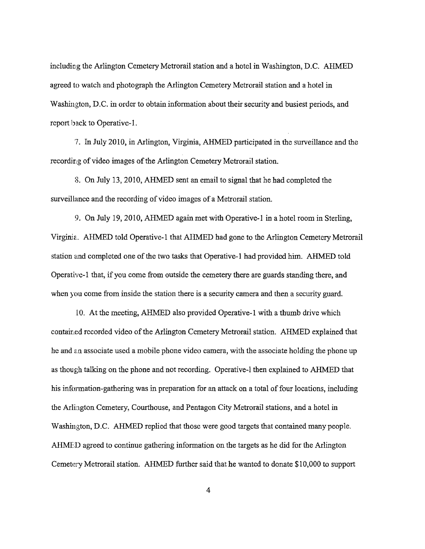including the Arlington Cemetery Metrorail station and a hotel in Washington, D.C. AHMED agreed to watch and photograph the Arlington Cemetery Metrorail station and a hotel in Washington, D.C. in order to obtain information about their security and busiest periods, and report back to Operative-I.

'7. In July 2010, in Arlington, Virginia, AHMED participated in the surveillance and the recording of video images of the Arlington Cemetery Mctrorail station.

8. On July l3, 2010, AHMED sent an email to signal that he had completed the surveillance and the recording of video images of a Metrorail station.

9. On July 19,2010, AHMED again met with Operative-l in a hotel room in Sterling, Virginia.. AHMED told Operative-l that AHMED had gone to the Arlington Cemetery Metrorail station and completed one of the two tasks that Operative-l had provided him. AHMED told Operative-1 that, if you come from outside the cemetery there are guards standing there, and when you come from inside the station there is a security camera and then a security guard.

lO. At the meeting, AHMED also provided Operative-l with a thumb drive which contained recorded video of the Arlington Cemetery Metrorail station. AHMED explained that he and an associate used a mobile phone video camera, with the associate holding the phone up as though talking on the phone and not recording. Operative-l then explained to AHMED that his information-gathering was in preparation for an attack on a total of four locations, including the Arlington Cemetery, Courthouse, and Pentagon City Metrorail stations, and a hotel in Washington, D.C. AHMED replied that those were good targets that contained many people. AHMED agreed to continue gathering information on the targets as he did for the Arlington Cemetery Metrorail station. AHMED further said that he wanted to donate \$10,000 to support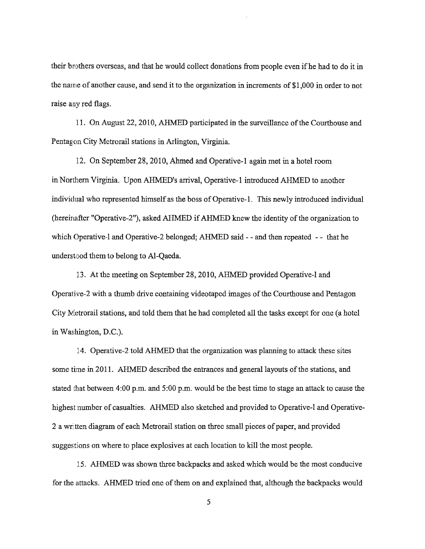their brothers overseas, and that he would collect donations from people even ifhe had to do it in the name of another cause, and send it to the organization in increments of \$1 ,000 in order to not raise any red flags.

11. On August 22, 2010, AHMED participated in the surveillance of the Courthouse and Pentagon City Metrorail stations in Arlington, Virginia.

12. On September 28, 2010, Ahmed and Operative-l again met in a hotel room in Northern Virginia. Upon AHMED's arrival, Operative-1 introduced AHMED to another individual who represented himself as the boss of Operative-I. This newly introduced individual (hereinafter "0perative-2"), asked AHMED if AHMED knew the identity of the organization to which Operative-l and Operative-2 belonged; AHMED said - - and then repeated - - that he understood them to belong to AI-Qaeda.

13. At the meeting on September 28,2010, AHMED provided Operative-l and Operative-2 with a thumb drive containing videotaped images of the Courthouse and Pentagon City Metrorail stations, and told them that he had completed all the tasks except for one (a hotel in Washington, D.C.).

14. Operative-2 told AHMED that the organization was planning to attack these sites some time in 2011. AHMED described the entrances and general layouts of the stations, and stated that between 4:00 p.m. and 5:00 p.m. would be the best time to stage an attack to cause the highest number of casualties. AHMED also sketched and provided to Operative-l and Operative-2 a written diagram of each Metrorail station on three small pieces of paper, and provided suggestions on where to place explosives at each location to kill the most people.

15. AHMED was shown three backpacks and asked which would be the most conducive for the attacks. AHMED tried one of them on and explained that, although the backpacks would

5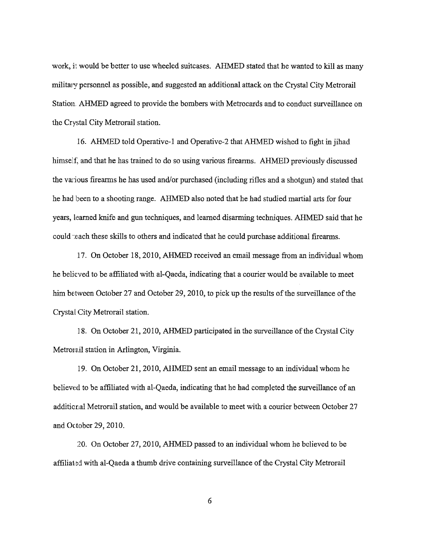work, it would be better to use wheeled suitcases. AHMED stated that he wanted to kill as many military personnel as possible, and suggested an additional attack on the Crystal City Mctrorail Station. AHMED agreed to provide the bombers with Metrocards and to conduct surveillance on the Crystal City Metrorail station.

16. AHMED told Operative-I and Operative-2 that AHMED wishcd to fight in jihad himself, and that he has trained to do so using various firearms. AHMED previously discussed the various firearms he has used and/or purchased (including rifles and a shotgun) and stated that he had been to a shooting range. AHMED also noted that he had studied martial arts for four years, learned knife and gun techniques, and learned disarming techniques. AHMED said that he could teach these skills to others and indicated that he could purchase additional firearms.

17. On October 18,2010, AHMED received an email message from an individual whom he belicved to be affiliated with al-Qaeda, indicating that a courier would be available to meet him between October 27 and October 29, 2010, to pick up the results of the surveillance of the Crystal City Metrorail station.

18. On October 21,2010, AHMED participated in thc surveillance of the Crystal City Metrora.il station in Arlington, Virginia.

19. On October 21,2010, AHMED sent an email message to an individual whom he believed to be affiliated with al-Qaeda, indicating that he had completed the surveillance of an additional Metrorail station, and would be available to meet with a courier between October 27 and October 29, 2010.

20. On October 27, 2010, AHMED passed to an individual whom he believed to be affiliated with al-Qaeda a thumb drive containing surveillance of the Crystal City Metrorail

6